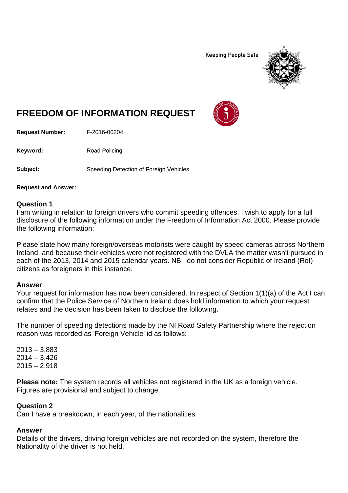**Keeping People Safe** 



# **FREEDOM OF INFORMATION REQUEST**

**Request Number:** F-2016-00204

Keyword: Road Policing

**Subject:** Speeding Detection of Foreign Vehicles

**Request and Answer:**

## **Question 1**

I am writing in relation to foreign drivers who commit speeding offences. I wish to apply for a full disclosure of the following information under the Freedom of Information Act 2000. Please provide the following information:

Please state how many foreign/overseas motorists were caught by speed cameras across Northern Ireland, and because their vehicles were not registered with the DVLA the matter wasn't pursued in each of the 2013, 2014 and 2015 calendar years. NB I do not consider Republic of Ireland (RoI) citizens as foreigners in this instance.

### **Answer**

Your request for information has now been considered. In respect of Section 1(1)(a) of the Act I can confirm that the Police Service of Northern Ireland does hold information to which your request relates and the decision has been taken to disclose the following.

The number of speeding detections made by the NI Road Safety Partnership where the rejection reason was recorded as 'Foreign Vehicle' id as follows:

2013 – 3,883  $2014 - 3.426$  $2015 - 2,918$ 

**Please note:** The system records all vehicles not registered in the UK as a foreign vehicle. Figures are provisional and subject to change.

## **Question 2**

Can I have a breakdown, in each year, of the nationalities.

# **Answer**

Details of the drivers, driving foreign vehicles are not recorded on the system, therefore the Nationality of the driver is not held.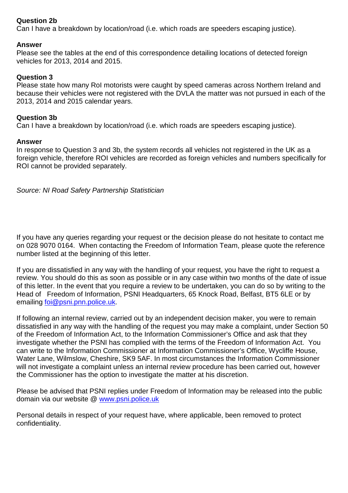# **Question 2b**

Can I have a breakdown by location/road (i.e. which roads are speeders escaping justice).

# **Answer**

Please see the tables at the end of this correspondence detailing locations of detected foreign vehicles for 2013, 2014 and 2015.

# **Question 3**

Please state how many RoI motorists were caught by speed cameras across Northern Ireland and because their vehicles were not registered with the DVLA the matter was not pursued in each of the 2013, 2014 and 2015 calendar years.

# **Question 3b**

Can I have a breakdown by location/road (i.e. which roads are speeders escaping justice).

## **Answer**

In response to Question 3 and 3b, the system records all vehicles not registered in the UK as a foreign vehicle, therefore ROI vehicles are recorded as foreign vehicles and numbers specifically for ROI cannot be provided separately.

*Source: NI Road Safety Partnership Statistician*

If you have any queries regarding your request or the decision please do not hesitate to contact me on 028 9070 0164. When contacting the Freedom of Information Team, please quote the reference number listed at the beginning of this letter.

If you are dissatisfied in any way with the handling of your request, you have the right to request a review. You should do this as soon as possible or in any case within two months of the date of issue of this letter. In the event that you require a review to be undertaken, you can do so by writing to the Head of Freedom of Information, PSNI Headquarters, 65 Knock Road, Belfast, BT5 6LE or by emailing [foi@psni.pnn.police.uk.](mailto:foi@psni.pnn.police.uk)

If following an internal review, carried out by an independent decision maker, you were to remain dissatisfied in any way with the handling of the request you may make a complaint, under Section 50 of the Freedom of Information Act, to the Information Commissioner's Office and ask that they investigate whether the PSNI has complied with the terms of the Freedom of Information Act. You can write to the Information Commissioner at Information Commissioner's Office, Wycliffe House, Water Lane, Wilmslow, Cheshire, SK9 5AF. In most circumstances the Information Commissioner will not investigate a complaint unless an internal review procedure has been carried out, however the Commissioner has the option to investigate the matter at his discretion.

Please be advised that PSNI replies under Freedom of Information may be released into the public domain via our website @ [www.psni.police.uk](http://www.psni.police.uk/)

Personal details in respect of your request have, where applicable, been removed to protect confidentiality.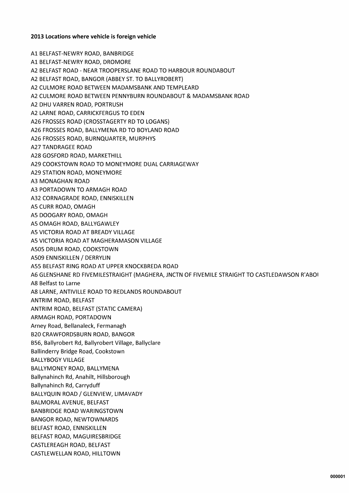#### 2013 Locations where vehicle is foreign vehicle

A1 BELFAST-NEWRY ROAD, BANBRIDGE A1 BELFAST-NEWRY ROAD, DROMORE A2 BELFAST ROAD - NEAR TROOPERSLANE ROAD TO HARBOUR ROUNDABOUT A2 BELFAST ROAD, BANGOR (ABBEY ST. TO BALLYROBERT) A2 CULMORE ROAD BETWEEN MADAMSBANK AND TEMPLEARD A2 CULMORE ROAD BETWEEN PENNYBURN ROUNDABOUT & MADAMSBANK ROAD A2 DHU VARREN ROAD, PORTRUSH A2 LARNE ROAD, CARRICKFERGUS TO EDEN A26 FROSSES ROAD (CROSSTAGERTY RD TO LOGANS) A26 FROSSES ROAD, BALLYMENA RD TO BOYLAND ROAD A26 FROSSES ROAD, BURNQUARTER, MURPHYS **A27 TANDRAGEE ROAD** A28 GOSFORD ROAD, MARKETHILL A29 COOKSTOWN ROAD TO MONEYMORE DUAL CARRIAGEWAY **A29 STATION ROAD, MONEYMORE A3 MONAGHAN ROAD** A3 PORTADOWN TO ARMAGH ROAD A32 CORNAGRADE ROAD, ENNISKILLEN A5 CURR ROAD, OMAGH A5 DOOGARY ROAD, OMAGH A5 OMAGH ROAD, BALLYGAWLEY A5 VICTORIA ROAD AT BREADY VILLAGE A5 VICTORIA ROAD AT MAGHERAMASON VILLAGE A505 DRUM ROAD, COOKSTOWN A509 ENNISKILLEN / DERRYLIN A55 BELFAST RING ROAD AT UPPER KNOCKBREDA ROAD A6 GLENSHANE RD FIVEMILESTRAIGHT (MAGHERA, JNCTN OF FIVEMILE STRAIGHT TO CASTLEDAWSON R'ABOI A8 Belfast to Larne A8 LARNE, ANTIVILLE ROAD TO REDLANDS ROUNDABOUT ANTRIM ROAD, BELFAST ANTRIM ROAD, BELFAST (STATIC CAMERA) ARMAGH ROAD, PORTADOWN Arney Road, Bellanaleck, Fermanagh **B20 CRAWFORDSBURN ROAD, BANGOR** B56, Ballyrobert Rd, Ballyrobert Village, Ballyclare Ballinderry Bridge Road, Cookstown **BALLYBOGY VILLAGE** BALLYMONEY ROAD, BALLYMENA Ballynahinch Rd, Anahilt, Hillsborough Ballynahinch Rd, Carryduff BALLYQUIN ROAD / GLENVIEW, LIMAVADY **BALMORAL AVENUE, BELFAST BANBRIDGE ROAD WARINGSTOWN BANGOR ROAD, NEWTOWNARDS** BELFAST ROAD, ENNISKILLEN BELFAST ROAD, MAGUIRESBRIDGE CASTLEREAGH ROAD, BELFAST CASTLEWELLAN ROAD, HILLTOWN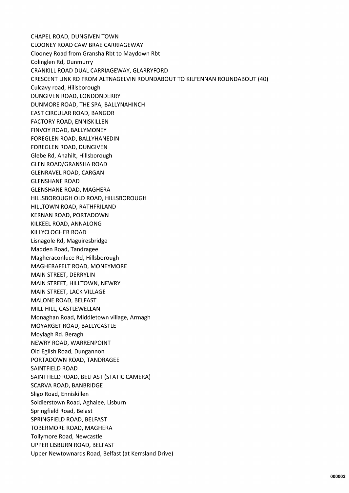CHAPEL ROAD, DUNGIVEN TOWN **CLOONEY ROAD CAW BRAE CARRIAGEWAY** Clooney Road from Gransha Rbt to Maydown Rbt Colinglen Rd, Dunmurry CRANKILL ROAD DUAL CARRIAGEWAY, GLARRYFORD CRESCENT LINK RD FROM ALTNAGELVIN ROUNDABOUT TO KILFENNAN ROUNDABOUT (40) Culcavy road, Hillsborough DUNGIVEN ROAD, LONDONDERRY DUNMORE ROAD, THE SPA, BALLYNAHINCH **EAST CIRCULAR ROAD, BANGOR FACTORY ROAD, ENNISKILLEN** FINVOY ROAD, BALLYMONEY FOREGLEN ROAD, BALLYHANEDIN FOREGLEN ROAD, DUNGIVEN Glebe Rd, Anahilt, Hillsborough **GLEN ROAD/GRANSHA ROAD GLENRAVEL ROAD, CARGAN GLENSHANE ROAD GLENSHANE ROAD, MAGHERA** HILLSBOROUGH OLD ROAD, HILLSBOROUGH HILLTOWN ROAD, RATHFRILAND **KERNAN ROAD, PORTADOWN** KILKEEL ROAD, ANNALONG **KILLYCLOGHER ROAD** Lisnagole Rd, Maguiresbridge Madden Road, Tandragee Magheraconluce Rd, Hillsborough MAGHERAFELT ROAD, MONEYMORE MAIN STREET, DERRYLIN MAIN STREET, HILLTOWN, NEWRY MAIN STREET, LACK VILLAGE **MALONE ROAD, BELFAST** MILL HILL, CASTLEWELLAN Monaghan Road, Middletown village, Armagh MOYARGET ROAD, BALLYCASTLE Moylagh Rd. Beragh NEWRY ROAD, WARRENPOINT Old Eglish Road, Dungannon PORTADOWN ROAD, TANDRAGEE SAINTFIELD ROAD SAINTFIELD ROAD, BELFAST (STATIC CAMERA) **SCARVA ROAD, BANBRIDGE** Sligo Road, Enniskillen Soldierstown Road, Aghalee, Lisburn Springfield Road, Belast SPRINGFIELD ROAD, BELFAST TOBERMORE ROAD, MAGHERA Tollymore Road, Newcastle UPPER LISBURN ROAD, BELFAST Upper Newtownards Road, Belfast (at Kerrsland Drive)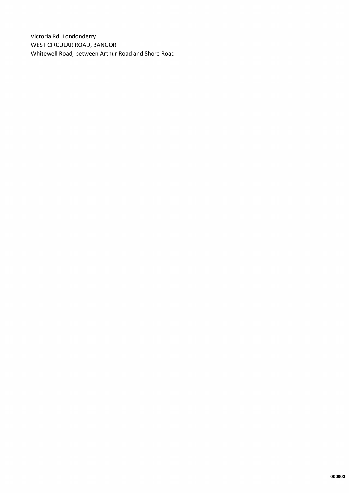Victoria Rd, Londonderry **WEST CIRCULAR ROAD, BANGOR** Whitewell Road, between Arthur Road and Shore Road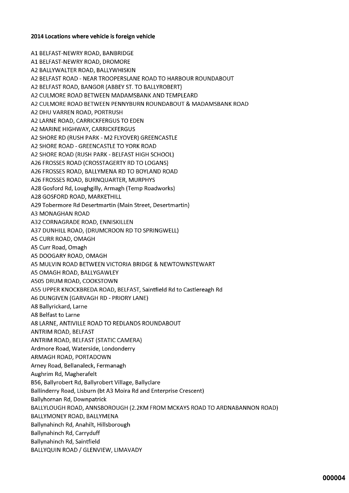#### 2014 Locations where vehicle is foreign vehicle

A1 BELFAST-NEWRY ROAD, BANBRIDGE A1 BELFAST-NEWRY ROAD, DROMORE A2 BALLYWALTER ROAD, BALLYWHISKIN A2 BELFAST ROAD - NEAR TROOPERSLANE ROAD TO HARBOUR ROUNDABOUT A2 BELFAST ROAD, BANGOR (ABBEY ST. TO BALLYROBERT) A2 CULMORE ROAD BETWEEN MADAMSBANK AND TEMPLEARD A2 CULMORE ROAD BETWEEN PENNYBURN ROUNDABOUT & MADAMSBANK ROAD A2 DHU VARREN ROAD, PORTRUSH A2 LARNE ROAD, CARRICKFERGUS TO EDEN A2 MARINE HIGHWAY, CARRICKFERGUS A2 SHORE RD (RUSH PARK - M2 FLYOVER) GREENCASTLE A2 SHORE ROAD - GREENCASTLE TO YORK ROAD A2 SHORE ROAD (RUSH PARK - BELFAST HIGH SCHOOL) A26 FROSSES ROAD (CROSSTAGERTY RD TO LOGANS) A26 FROSSES ROAD, BALLYMENA RD TO BOYLAND ROAD A26 FROSSES ROAD, BURNQUARTER, MURPHYS A28 Gosford Rd, Loughgilly, Armagh (Temp Roadworks) A28 GOSFORD ROAD, MARKETHILL A29 Tobermore Rd Desertmartin (Main Street, Desertmartin) A3 MONAGHAN ROAD A32 CORNAGRADE ROAD, ENNISKILLEN A37 DUNHILL ROAD, (DRUMCROON RD TO SPRINGWELL) A5 CURR ROAD, OMAGH A5 Curr Road, Omagh A5 DOOGARY ROAD, OMAGH A5 MULVIN ROAD BETWEEN VICTORIA BRIDGE & NEWTOWNSTEWART A5 OMAGH ROAD, BALLYGAWLEY A505 DRUM ROAD, COOKSTOWN A55 UPPER KNOCKBREDA ROAD, BELFAST, Saintfield Rd to Castlereagh Rd A6 DUNGIVEN (GARVAGH RD - PRIORY LANE) A8 Ballyrickard, Larne A8 Belfast to Larne A8 LARNE, ANTIVILLE ROAD TO REDLANDS ROUNDABOUT ANTRIM ROAD, BELFAST ANTRIM ROAD, BELFAST (STATIC CAMERA) Ardmore Road, Waterside, Londonderry ARMAGH ROAD, PORTADOWN Arney Road, Bellanaleck, Fermanagh Aughrim Rd, Magherafelt B56, Ballyrobert Rd, Ballyrobert Village, Ballyclare Ballinderry Road, Lisburn (bt A3 Moira Rd and Enterprise Crescent) Ballyhornan Rd, Downpatrick BALLYLOUGH ROAD, ANNSBOROUGH (2.2KM FROM MCKAYS ROAD TO ARDNABANNON ROAD) BALLYMONEY ROAD, BALLYMENA Ballynahinch Rd, Anahilt, Hillsborough Ballynahinch Rd, Carryduff Ballynahinch Rd, Saintfield BALLYQUIN ROAD / GLENVIEW, LIMAVADY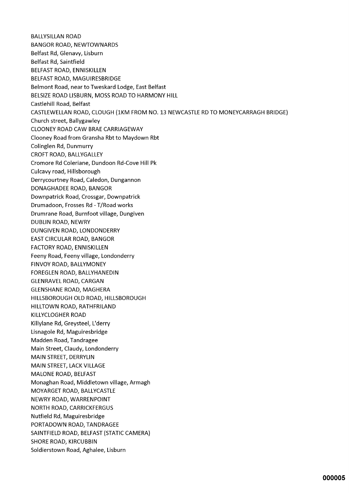**BALLYSILLAN ROAD BANGOR ROAD, NEWTOWNARDS** Belfast Rd, Glenavy, Lisburn Belfast Rd, Saintfield BELFAST ROAD, ENNISKILLEN BELFAST ROAD, MAGUIRESBRIDGE Belmont Road, near to Tweskard Lodge, East Belfast BELSIZE ROAD LISBURN, MOSS ROAD TO HARMONY HILL Castlehill Road, Belfast CASTLEWELLAN ROAD, CLOUGH (1KM FROM NO. 13 NEWCASTLE RD TO MONEYCARRAGH BRIDGE) Church street, Ballygawley CLOONEY ROAD CAW BRAE CARRIAGEWAY Clooney Road from Gransha Rbt to Maydown Rbt Colinglen Rd, Dunmurry **CROFT ROAD, BALLYGALLEY** Cromore Rd Coleriane, Dundoon Rd-Cove Hill Pk Culcavy road, Hillsborough Derrycourtney Road, Caledon, Dungannon DONAGHADEE ROAD, BANGOR Downpatrick Road, Crossgar, Downpatrick Drumadoon, Frosses Rd - T/Road works Drumrane Road, Burnfoot village, Dungiven **DUBLIN ROAD, NEWRY** DUNGIVEN ROAD, LONDONDERRY EAST CIRCULAR ROAD, BANGOR **FACTORY ROAD, ENNISKILLEN** Feeny Road, Feeny village, Londonderry FINVOY ROAD, BALLYMONEY FOREGLEN ROAD, BALLYHANEDIN **GLENRAVEL ROAD, CARGAN GLENSHANE ROAD, MAGHERA** HILLSBOROUGH OLD ROAD, HILLSBOROUGH HILLTOWN ROAD, RATHFRILAND KILLYCLOGHER ROAD Killylane Rd, Greysteel, L'derry Lisnagole Rd, Maguiresbridge Madden Road, Tandragee Main Street, Claudy, Londonderry MAIN STREET, DERRYLIN MAIN STREET, LACK VILLAGE MALONE ROAD, BELFAST Monaghan Road, Middletown village, Armagh MOYARGET ROAD, BALLYCASTLE NEWRY ROAD, WARRENPOINT **NORTH ROAD, CARRICKFERGUS** Nutfield Rd, Maguiresbridge PORTADOWN ROAD, TANDRAGEE SAINTFIELD ROAD, BELFAST (STATIC CAMERA) **SHORE ROAD, KIRCUBBIN** Soldierstown Road, Aghalee, Lisburn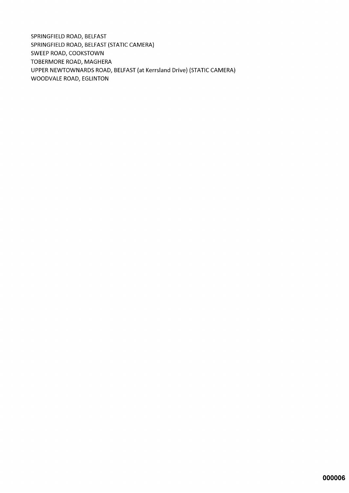SPRINGFIELD ROAD, BELFAST SPRINGFIELD ROAD, BELFAST (STATIC CAMERA) SWEEP ROAD, COOKSTOWN TOBERMORE ROAD, MAGHERA UPPER NEWTOWNARDS ROAD, BELFAST (at Kerrsland Drive) (STATIC CAMERA) **WOODVALE ROAD, EGLINTON**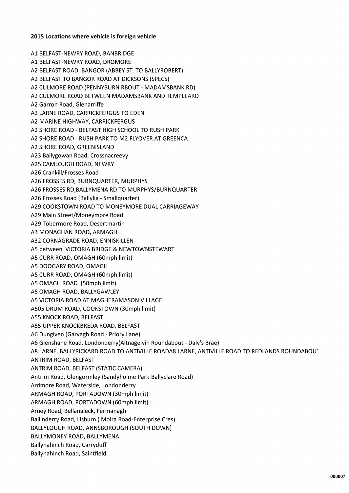#### 2015 Locations where vehicle is foreign vehicle

A1 BELFAST-NEWRY ROAD, BANBRIDGE A1 BELFAST-NEWRY ROAD, DROMORE A2 BELFAST ROAD, BANGOR (ABBEY ST. TO BALLYROBERT) A2 BELFAST TO BANGOR ROAD AT DICKSONS (SPECS) A2 CULMORE ROAD (PENNYBURN RBOUT - MADAMSBANK RD) A2 CULMORE ROAD BETWEEN MADAMSBANK AND TEMPLEARD A2 Garron Road, Glenarriffe A2 LARNE ROAD, CARRICKFERGUS TO EDEN A2 MARINE HIGHWAY, CARRICKFERGUS A2 SHORE ROAD - BELFAST HIGH SCHOOL TO RUSH PARK A2 SHORE ROAD - RUSH PARK TO M2 FLYOVER AT GREENCA A2 SHORE ROAD, GREENISLAND A23 Ballygowan Road, Crossnacreevy A25 CAMLOUGH ROAD, NEWRY A26 Crankill/Frosses Road A26 FROSSES RD, BURNQUARTER, MURPHYS A26 FROSSES RD, BALLYMENA RD TO MURPHYS/BURNQUARTER A26 Frosses Road (Ballylig - Smallquarter) A29 COOKSTOWN ROAD TO MONEYMORE DUAL CARRIAGEWAY A29 Main Street/Moneymore Road A29 Tobermore Road, Desertmartin A3 MONAGHAN ROAD, ARMAGH A32 CORNAGRADE ROAD, ENNISKILLEN A5 between VICTORIA BRIDGE & NEWTOWNSTEWART A5 CURR ROAD, OMAGH (60mph limit) A5 DOOGARY ROAD, OMAGH A5 CURR ROAD, OMAGH (60mph limit) A5 OMAGH ROAD (50mph limit) A5 OMAGH ROAD, BALLYGAWLEY A5 VICTORIA ROAD AT MAGHERAMASON VILLAGE A505 DRUM ROAD, COOKSTOWN (30mph limit) A55 KNOCK ROAD, BELFAST A55 UPPER KNOCKBREDA ROAD, BELFAST A6 Dungiven (Garvagh Road - Priory Lane) A6 Glenshane Road, Londonderry(Altnagelvin Roundabout - Daly's Brae) A8 LARNE, BALLYRICKARD ROAD TO ANTIVILLE ROADA8 LARNE, ANTIVILLE ROAD TO REDLANDS ROUNDABOUT ANTRIM ROAD, BELFAST ANTRIM ROAD, BELFAST (STATIC CAMERA) Antrim Road, Glengormley (Sandyholme Park-Ballyclare Road) Ardmore Road, Waterside, Londonderry ARMAGH ROAD, PORTADOWN (30mph limit) ARMAGH ROAD, PORTADOWN (60mph limit) Arney Road, Bellanaleck, Fermanagh Ballinderry Road, Lisburn (Moira Road-Enterprise Cres) BALLYLOUGH ROAD, ANNSBOROUGH (SOUTH DOWN) BALLYMONEY ROAD, BALLYMENA Ballynahinch Road, Carryduff Ballynahinch Road, Saintfield.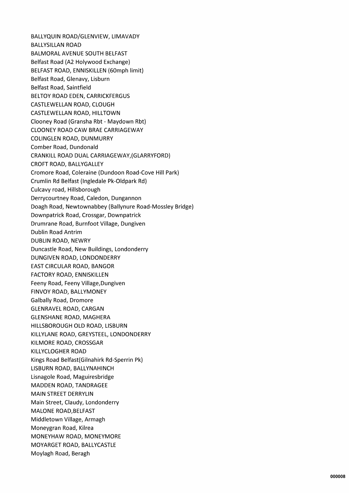BALLYQUIN ROAD/GLENVIEW, LIMAVADY **BALLYSILLAN ROAD BALMORAL AVENUE SOUTH BELFAST** Belfast Road (A2 Holywood Exchange) BELFAST ROAD, ENNISKILLEN (60mph limit) Belfast Road, Glenavy, Lisburn **Belfast Road, Saintfield** BELTOY ROAD EDEN, CARRICKFERGUS CASTLEWELLAN ROAD, CLOUGH CASTLEWELLAN ROAD, HILLTOWN Clooney Road (Gransha Rbt - Maydown Rbt) **CLOONEY ROAD CAW BRAE CARRIAGEWAY COLINGLEN ROAD, DUNMURRY** Comber Road, Dundonald CRANKILL ROAD DUAL CARRIAGEWAY, (GLARRYFORD) CROFT ROAD, BALLYGALLEY Cromore Road, Coleraine (Dundoon Road-Cove Hill Park) Crumlin Rd Belfast (Ingledale Pk-Oldpark Rd) Culcavy road, Hillsborough Derrycourtney Road, Caledon, Dungannon Doagh Road, Newtownabbey (Ballynure Road-Mossley Bridge) Downpatrick Road, Crossgar, Downpatrick Drumrane Road, Burnfoot Village, Dungiven **Dublin Road Antrim DUBLIN ROAD, NEWRY** Duncastle Road, New Buildings, Londonderry DUNGIVEN ROAD, LONDONDERRY EAST CIRCULAR ROAD, BANGOR **FACTORY ROAD, ENNISKILLEN** Feeny Road, Feeny Village, Dungiven FINVOY ROAD, BALLYMONEY **Galbally Road, Dromore GLENRAVEL ROAD, CARGAN GLENSHANE ROAD, MAGHERA** HILLSBOROUGH OLD ROAD, LISBURN KILLYLANE ROAD, GREYSTEEL, LONDONDERRY KILMORE ROAD, CROSSGAR KILLYCLOGHER ROAD Kings Road Belfast (Gilnahirk Rd-Sperrin Pk) LISBURN ROAD, BALLYNAHINCH Lisnagole Road, Maguiresbridge MADDEN ROAD, TANDRAGEE **MAIN STREET DERRYLIN** Main Street, Claudy, Londonderry **MALONE ROAD, BELFAST** Middletown Village, Armagh Moneygran Road, Kilrea MONEYHAW ROAD, MONEYMORE MOYARGET ROAD, BALLYCASTLE Moylagh Road, Beragh